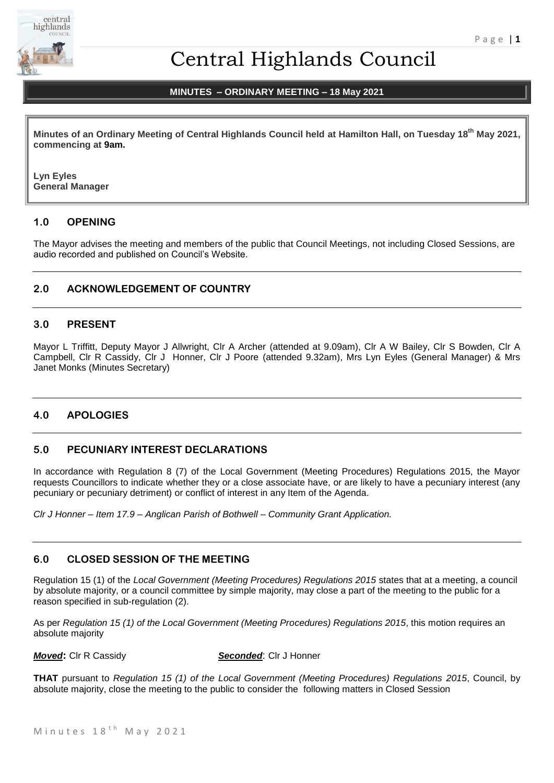

# Central Highlands Council

# **MINUTES – ORDINARY MEETING – 18 May 2021**

**Minutes of an Ordinary Meeting of Central Highlands Council held at Hamilton Hall, on Tuesday 18th May 2021, commencing at 9am.**

**Lyn Eyles General Manager**

# **1.0 OPENING**

The Mayor advises the meeting and members of the public that Council Meetings, not including Closed Sessions, are audio recorded and published on Council's Website.

# **2.0 ACKNOWLEDGEMENT OF COUNTRY**

### **3.0 PRESENT**

Mayor L Triffitt, Deputy Mayor J Allwright, Clr A Archer (attended at 9.09am), Clr A W Bailey, Clr S Bowden, Clr A Campbell, Clr R Cassidy, Clr J Honner, Clr J Poore (attended 9.32am), Mrs Lyn Eyles (General Manager) & Mrs Janet Monks (Minutes Secretary)

# **4.0 APOLOGIES**

### **5.0 PECUNIARY INTEREST DECLARATIONS**

In accordance with Regulation 8 (7) of the Local Government (Meeting Procedures) Regulations 2015, the Mayor requests Councillors to indicate whether they or a close associate have, or are likely to have a pecuniary interest (any pecuniary or pecuniary detriment) or conflict of interest in any Item of the Agenda.

*Clr J Honner – Item 17.9 – Anglican Parish of Bothwell – Community Grant Application.*

### **6.0 CLOSED SESSION OF THE MEETING**

Regulation 15 (1) of the *Local Government (Meeting Procedures) Regulations 2015* states that at a meeting, a council by absolute majority, or a council committee by simple majority, may close a part of the meeting to the public for a reason specified in sub-regulation (2).

As per *Regulation 15 (1) of the Local Government (Meeting Procedures) Regulations 2015*, this motion requires an absolute majority

*Moved***:** Clr R Cassidy *Seconded*: Clr J Honner

**THAT** pursuant to *Regulation 15 (1) of the Local Government (Meeting Procedures) Regulations 2015*, Council, by absolute majority, close the meeting to the public to consider the following matters in Closed Session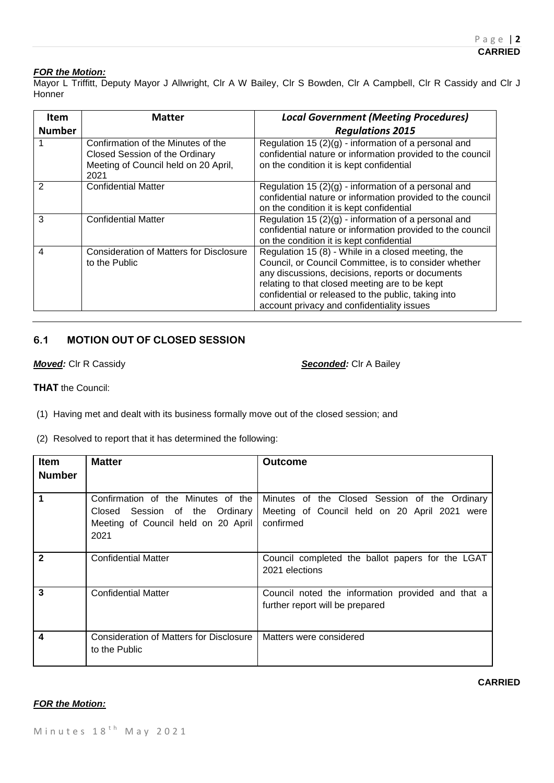### *FOR the Motion:*

Mayor L Triffitt, Deputy Mayor J Allwright, Clr A W Bailey, Clr S Bowden, Clr A Campbell, Clr R Cassidy and Clr J **Honner** 

| ltem<br><b>Number</b> | <b>Matter</b>                                                                                                        | <b>Local Government (Meeting Procedures)</b><br><b>Regulations 2015</b>                                                                                                                                                                                                                                                |
|-----------------------|----------------------------------------------------------------------------------------------------------------------|------------------------------------------------------------------------------------------------------------------------------------------------------------------------------------------------------------------------------------------------------------------------------------------------------------------------|
|                       | Confirmation of the Minutes of the<br>Closed Session of the Ordinary<br>Meeting of Council held on 20 April,<br>2021 | Regulation 15 $(2)(g)$ - information of a personal and<br>confidential nature or information provided to the council<br>on the condition it is kept confidential                                                                                                                                                       |
| 2                     | <b>Confidential Matter</b>                                                                                           | Regulation 15 $(2)(g)$ - information of a personal and<br>confidential nature or information provided to the council<br>on the condition it is kept confidential                                                                                                                                                       |
| 3                     | <b>Confidential Matter</b>                                                                                           | Regulation 15 (2)(g) - information of a personal and<br>confidential nature or information provided to the council<br>on the condition it is kept confidential                                                                                                                                                         |
| $\overline{4}$        | <b>Consideration of Matters for Disclosure</b><br>to the Public                                                      | Regulation 15 (8) - While in a closed meeting, the<br>Council, or Council Committee, is to consider whether<br>any discussions, decisions, reports or documents<br>relating to that closed meeting are to be kept<br>confidential or released to the public, taking into<br>account privacy and confidentiality issues |

# **6.1 MOTION OUT OF CLOSED SESSION**

*Moved:* Clr R Cassidy *Seconded:* Clr A Bailey

**THAT** the Council:

(1) Having met and dealt with its business formally move out of the closed session; and

(2) Resolved to report that it has determined the following:

| <b>Item</b><br><b>Number</b> | <b>Matter</b>                                                                 | <b>Outcome</b>                                                                                                                                   |
|------------------------------|-------------------------------------------------------------------------------|--------------------------------------------------------------------------------------------------------------------------------------------------|
|                              |                                                                               |                                                                                                                                                  |
| 1                            | Closed Session of the Ordinary<br>Meeting of Council held on 20 April<br>2021 | Confirmation of the Minutes of the   Minutes of the Closed Session of the Ordinary<br>Meeting of Council held on 20 April 2021 were<br>confirmed |
| $\mathbf{2}$                 | <b>Confidential Matter</b>                                                    | Council completed the ballot papers for the LGAT<br>2021 elections                                                                               |
| 3                            | <b>Confidential Matter</b>                                                    | Council noted the information provided and that a<br>further report will be prepared                                                             |
| 4                            | Consideration of Matters for Disclosure<br>to the Public                      | Matters were considered                                                                                                                          |

### *FOR the Motion:*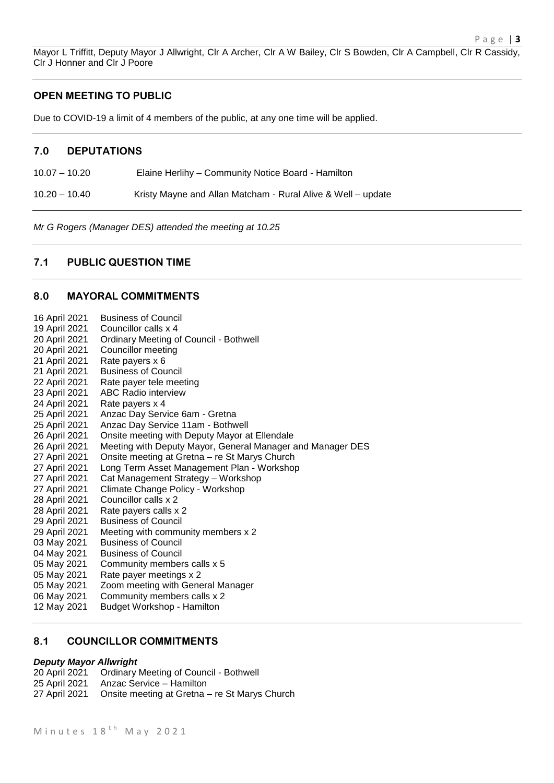# **OPEN MEETING TO PUBLIC**

Clr J Honner and Clr J Poore

Due to COVID-19 a limit of 4 members of the public, at any one time will be applied.

#### **7.0 DEPUTATIONS**

10.07 – 10.20 Elaine Herlihy – Community Notice Board - Hamilton

10.20 – 10.40 Kristy Mayne and Allan Matcham - Rural Alive & Well – update

*Mr G Rogers (Manager DES) attended the meeting at 10.25*

# **7.1 PUBLIC QUESTION TIME**

# **8.0 MAYORAL COMMITMENTS**

| 16 April 2021 | <b>Business of Council</b>                                 |
|---------------|------------------------------------------------------------|
| 19 April 2021 | Councillor calls x 4                                       |
| 20 April 2021 | <b>Ordinary Meeting of Council - Bothwell</b>              |
| 20 April 2021 | <b>Councillor meeting</b>                                  |
| 21 April 2021 | Rate payers x 6                                            |
| 21 April 2021 | <b>Business of Council</b>                                 |
| 22 April 2021 | Rate payer tele meeting                                    |
| 23 April 2021 | <b>ABC Radio interview</b>                                 |
| 24 April 2021 | Rate payers x 4                                            |
| 25 April 2021 | Anzac Day Service 6am - Gretna                             |
| 25 April 2021 | Anzac Day Service 11am - Bothwell                          |
| 26 April 2021 | Onsite meeting with Deputy Mayor at Ellendale              |
| 26 April 2021 | Meeting with Deputy Mayor, General Manager and Manager DES |
| 27 April 2021 | Onsite meeting at Gretna - re St Marys Church              |
| 27 April 2021 | Long Term Asset Management Plan - Workshop                 |
| 27 April 2021 | Cat Management Strategy - Workshop                         |
| 27 April 2021 | Climate Change Policy - Workshop                           |
| 28 April 2021 | Councillor calls x 2                                       |
| 28 April 2021 | Rate payers calls x 2                                      |
| 29 April 2021 | <b>Business of Council</b>                                 |
| 29 April 2021 | Meeting with community members x 2                         |
| 03 May 2021   | <b>Business of Council</b>                                 |
| 04 May 2021   | <b>Business of Council</b>                                 |
| 05 May 2021   | Community members calls x 5                                |
| 05 May 2021   | Rate payer meetings x 2                                    |
| 05 May 2021   | Zoom meeting with General Manager                          |
| 06 May 2021   | Community members calls x 2                                |
| 12 May 2021   | <b>Budget Workshop - Hamilton</b>                          |
|               |                                                            |

# **8.1 COUNCILLOR COMMITMENTS**

#### *Deputy Mayor Allwright*

- 20 April 2021 Ordinary Meeting of Council Bothwell 25 April 2021 Anzac Service – Hamilton
- 27 April 2021 Onsite meeting at Gretna re St Marys Church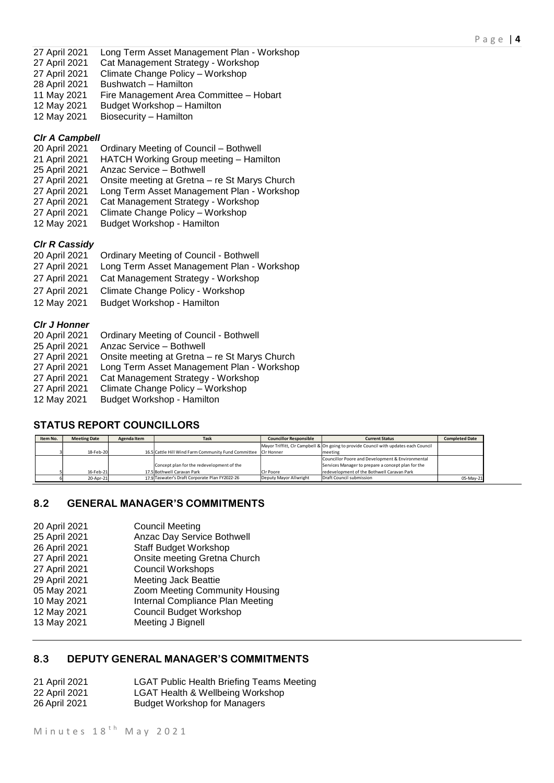- 27 April 2021 Long Term Asset Management Plan Workshop
- 27 April 2021 Cat Management Strategy Workshop<br>27 April 2021 Climate Change Policy Workshop
- Climate Change Policy Workshop
- 28 April 2021 Bushwatch Hamilton
- 11 May 2021 Fire Management Area Committee Hobart
- 12 May 2021 Budget Workshop Hamilton
- 12 May 2021 Biosecurity Hamilton

# *Clr A Campbell*

- 20 April 2021 Ordinary Meeting of Council Bothwell
- 21 April 2021 HATCH Working Group meeting Hamilton
- 25 April 2021 Anzac Service Bothwell
- 27 April 2021 Onsite meeting at Gretna re St Marys Church
- 27 April 2021 Long Term Asset Management Plan Workshop
- 27 April 2021 Cat Management Strategy Workshop
- 27 April 2021 Climate Change Policy Workshop
- 12 May 2021 Budget Workshop Hamilton

# *Clr R Cassidy*

- 20 April 2021 Ordinary Meeting of Council Bothwell 27 April 2021 Long Term Asset Management Plan - Workshop 27 April 2021 Cat Management Strategy - Workshop 27 April 2021 Climate Change Policy - Workshop
- 12 May 2021 Budget Workshop Hamilton

# *Clr J Honner*

- 20 April 2021 Ordinary Meeting of Council Bothwell 25 April 2021 Anzac Service – Bothwell
- 27 April 2021 Onsite meeting at Gretna re St Marys Church
- 27 April 2021 Long Term Asset Management Plan Workshop
- 27 April 2021 Cat Management Strategy Workshop
- 27 April 2021 Climate Change Policy Workshop
- 12 May 2021 Budget Workshop Hamilton

# **STATUS REPORT COUNCILLORS**

| Item No. | <b>Meeting Date</b> | Agenda Item | <b>Task</b>                                                    | <b>Councillor Responsible</b> | <b>Current Status</b>                                                                | <b>Completed Date</b> |
|----------|---------------------|-------------|----------------------------------------------------------------|-------------------------------|--------------------------------------------------------------------------------------|-----------------------|
|          |                     |             |                                                                |                               | Mayor Triffitt, CIr Campbell & On going to provide Council with updates each Council |                       |
|          | 18-Feb-20           |             | 16.5 Cattle Hill Wind Farm Community Fund Committee CIr Honner |                               | meeting                                                                              |                       |
|          |                     |             |                                                                |                               | Councillor Poore and Development & Environmental                                     |                       |
|          |                     |             | Concept plan for the redevelopment of the                      |                               | Services Manager to prepare a concept plan for the                                   |                       |
|          | 16-Feb-21           |             | 17.5 Bothwell Caravan Park                                     | Cir Poore                     | redevelopment of the Bothwell Caravan Park                                           |                       |
|          | 20-Apr-21           |             | 17.9 Taswater's Draft Corporate Plan FY2022-26                 | Deputy Mayor Allwright        | Draft Council submission                                                             | 05-May-21             |

# **8.2 GENERAL MANAGER'S COMMITMENTS**

| 20 April 2021 | <b>Council Meeting</b>           |
|---------------|----------------------------------|
| 25 April 2021 | Anzac Day Service Bothwell       |
| 26 April 2021 | <b>Staff Budget Workshop</b>     |
| 27 April 2021 | Onsite meeting Gretna Church     |
| 27 April 2021 | <b>Council Workshops</b>         |
| 29 April 2021 | <b>Meeting Jack Beattie</b>      |
| 05 May 2021   | Zoom Meeting Community Housing   |
| 10 May 2021   | Internal Compliance Plan Meeting |
| 12 May 2021   | <b>Council Budget Workshop</b>   |
| 13 May 2021   | Meeting J Bignell                |
|               |                                  |

# **8.3 DEPUTY GENERAL MANAGER'S COMMITMENTS**

| 21 April 2021 | <b>LGAT Public Health Briefing Teams Meeting</b> |
|---------------|--------------------------------------------------|
| 22 April 2021 | LGAT Health & Wellbeing Workshop                 |
| 26 April 2021 | <b>Budget Workshop for Managers</b>              |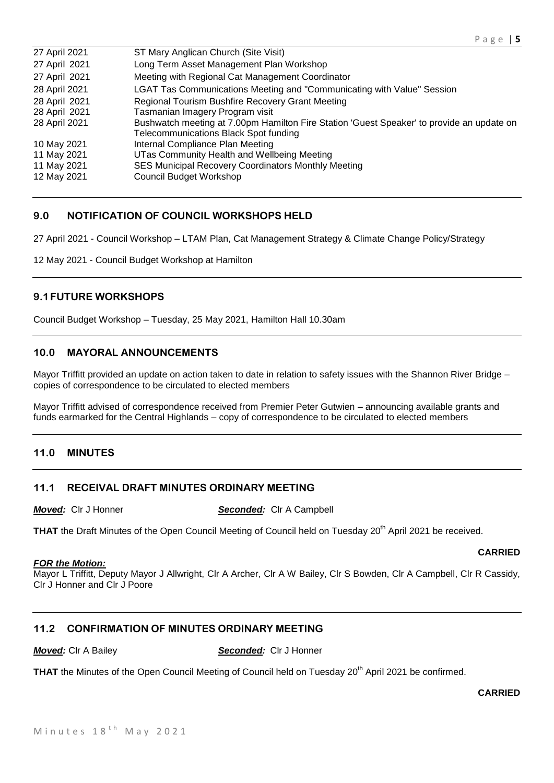| 27 April 2021 | ST Mary Anglican Church (Site Visit)                                                                                               |
|---------------|------------------------------------------------------------------------------------------------------------------------------------|
| 27 April 2021 | Long Term Asset Management Plan Workshop                                                                                           |
| 27 April 2021 | Meeting with Regional Cat Management Coordinator                                                                                   |
| 28 April 2021 | LGAT Tas Communications Meeting and "Communicating with Value" Session                                                             |
| 28 April 2021 | Regional Tourism Bushfire Recovery Grant Meeting                                                                                   |
| 28 April 2021 | Tasmanian Imagery Program visit                                                                                                    |
| 28 April 2021 | Bushwatch meeting at 7.00pm Hamilton Fire Station 'Guest Speaker' to provide an update on<br>Telecommunications Black Spot funding |
| 10 May 2021   | Internal Compliance Plan Meeting                                                                                                   |
| 11 May 2021   | UTas Community Health and Wellbeing Meeting                                                                                        |
| 11 May 2021   | SES Municipal Recovery Coordinators Monthly Meeting                                                                                |
| 12 May 2021   | <b>Council Budget Workshop</b>                                                                                                     |
|               |                                                                                                                                    |

# **9.0 NOTIFICATION OF COUNCIL WORKSHOPS HELD**

27 April 2021 - Council Workshop – LTAM Plan, Cat Management Strategy & Climate Change Policy/Strategy

12 May 2021 - Council Budget Workshop at Hamilton

# **9.1FUTURE WORKSHOPS**

Council Budget Workshop – Tuesday, 25 May 2021, Hamilton Hall 10.30am

# **10.0 MAYORAL ANNOUNCEMENTS**

Mayor Triffitt provided an update on action taken to date in relation to safety issues with the Shannon River Bridge – copies of correspondence to be circulated to elected members

Mayor Triffitt advised of correspondence received from Premier Peter Gutwien – announcing available grants and funds earmarked for the Central Highlands – copy of correspondence to be circulated to elected members

# **11.0 MINUTES**

#### **11.1 RECEIVAL DRAFT MINUTES ORDINARY MEETING**

*Moved:* Clr J Honner *Seconded:* Clr A Campbell

**THAT** the Draft Minutes of the Open Council Meeting of Council held on Tuesday 20<sup>th</sup> April 2021 be received.

#### *FOR the Motion:*

Mayor L Triffitt, Deputy Mayor J Allwright, Clr A Archer, Clr A W Bailey, Clr S Bowden, Clr A Campbell, Clr R Cassidy, Clr J Honner and Clr J Poore

# **11.2 CONFIRMATION OF MINUTES ORDINARY MEETING**

*Moved:* Clr A Bailey *Seconded:* Clr J Honner

THAT the Minutes of the Open Council Meeting of Council held on Tuesday 20<sup>th</sup> April 2021 be confirmed.

**CARRIED**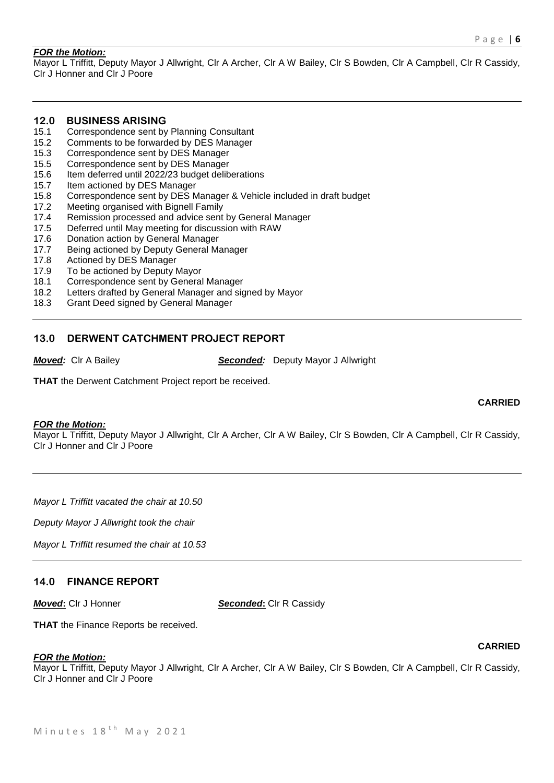#### *FOR the Motion:*

Mayor L Triffitt, Deputy Mayor J Allwright, Clr A Archer, Clr A W Bailey, Clr S Bowden, Clr A Campbell, Clr R Cassidy, Clr J Honner and Clr J Poore

# **12.0 BUSINESS ARISING**

- 15.1 Correspondence sent by Planning Consultant
- 15.2 Comments to be forwarded by DES Manager
- 15.3 Correspondence sent by DES Manager
- 15.5 Correspondence sent by DES Manager
- 15.6 Item deferred until 2022/23 budget deliberations
- 15.7 Item actioned by DES Manager
- 15.8 Correspondence sent by DES Manager & Vehicle included in draft budget
- 17.2 Meeting organised with Bignell Family
- 17.4 Remission processed and advice sent by General Manager
- 17.5 Deferred until May meeting for discussion with RAW
- 17.6 Donation action by General Manager
- 17.7 Being actioned by Deputy General Manager
- 17.8 Actioned by DES Manager
- 17.9 To be actioned by Deputy Mayor
- 18.1 Correspondence sent by General Manager
- 18.2 Letters drafted by General Manager and signed by Mayor
- 18.3 Grant Deed signed by General Manager

### **13.0 DERWENT CATCHMENT PROJECT REPORT**

*Moved:* Clr A Bailey *Seconded:* Deputy Mayor J Allwright

**THAT** the Derwent Catchment Project report be received.

#### *FOR the Motion:*

Mayor L Triffitt, Deputy Mayor J Allwright, Clr A Archer, Clr A W Bailey, Clr S Bowden, Clr A Campbell, Clr R Cassidy, Clr J Honner and Clr J Poore

*Mayor L Triffitt vacated the chair at 10.50*

*Deputy Mayor J Allwright took the chair*

*Mayor L Triffitt resumed the chair at 10.53*

### **14.0 FINANCE REPORT**

*Moved***:** Clr J Honner *Seconded***:** Clr R Cassidy

**THAT** the Finance Reports be received.

#### *FOR the Motion:*

Mayor L Triffitt, Deputy Mayor J Allwright, Clr A Archer, Clr A W Bailey, Clr S Bowden, Clr A Campbell, Clr R Cassidy, Clr J Honner and Clr J Poore

#### **CARRIED**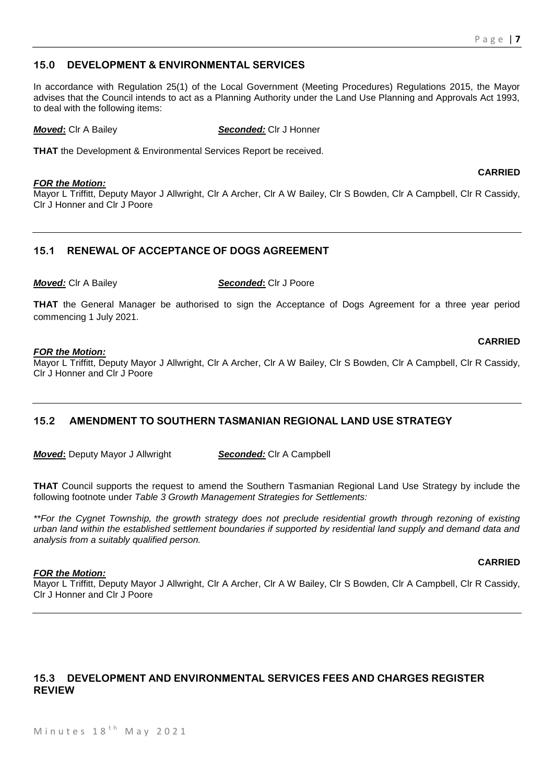**CARRIED**

# **15.0 DEVELOPMENT & ENVIRONMENTAL SERVICES**

In accordance with Regulation 25(1) of the Local Government (Meeting Procedures) Regulations 2015, the Mayor advises that the Council intends to act as a Planning Authority under the Land Use Planning and Approvals Act 1993, to deal with the following items:

*Moved***:** Clr A Bailey *Seconded:* Clr J Honner

**THAT** the Development & Environmental Services Report be received.

#### *FOR the Motion:*

Mayor L Triffitt, Deputy Mayor J Allwright, Clr A Archer, Clr A W Bailey, Clr S Bowden, Clr A Campbell, Clr R Cassidy, Clr J Honner and Clr J Poore

# **15.1 RENEWAL OF ACCEPTANCE OF DOGS AGREEMENT**

*Moved:* Clr A Bailey *Seconded***:** Clr J Poore

**THAT** the General Manager be authorised to sign the Acceptance of Dogs Agreement for a three year period commencing 1 July 2021.

#### *FOR the Motion:*

Mayor L Triffitt, Deputy Mayor J Allwright, Clr A Archer, Clr A W Bailey, Clr S Bowden, Clr A Campbell, Clr R Cassidy, Clr J Honner and Clr J Poore

# **15.2 AMENDMENT TO SOUTHERN TASMANIAN REGIONAL LAND USE STRATEGY**

*Moved***:** Deputy Mayor J Allwright *Seconded:* Clr A Campbell

**THAT** Council supports the request to amend the Southern Tasmanian Regional Land Use Strategy by include the following footnote under *Table 3 Growth Management Strategies for Settlements:*

*\*\*For the Cygnet Township, the growth strategy does not preclude residential growth through rezoning of existing urban land within the established settlement boundaries if supported by residential land supply and demand data and analysis from a suitably qualified person.*

#### *FOR the Motion:*

Mayor L Triffitt, Deputy Mayor J Allwright, Clr A Archer, Clr A W Bailey, Clr S Bowden, Clr A Campbell, Clr R Cassidy, Clr J Honner and Clr J Poore

# **15.3 DEVELOPMENT AND ENVIRONMENTAL SERVICES FEES AND CHARGES REGISTER REVIEW**

Minutes  $18<sup>th</sup>$  May 2021

# **CARRIED**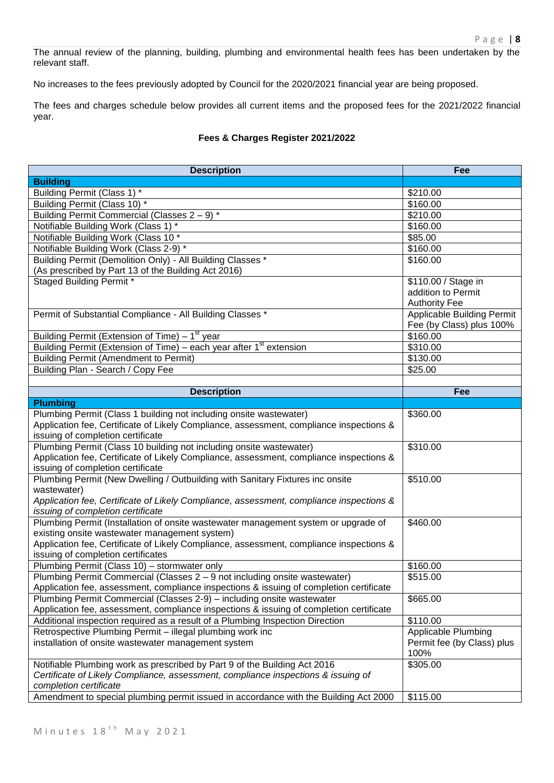The annual review of the planning, building, plumbing and environmental health fees has been undertaken by the relevant staff.

No increases to the fees previously adopted by Council for the 2020/2021 financial year are being proposed.

The fees and charges schedule below provides all current items and the proposed fees for the 2021/2022 financial year.

# **Fees & Charges Register 2021/2022**

| <b>Description</b>                                                                                                           | Fee                               |
|------------------------------------------------------------------------------------------------------------------------------|-----------------------------------|
| <b>Building</b>                                                                                                              |                                   |
| Building Permit (Class 1) *                                                                                                  | \$210.00                          |
| Building Permit (Class 10) *                                                                                                 | \$160.00                          |
| Building Permit Commercial (Classes 2 - 9) *                                                                                 | \$210.00                          |
| Notifiable Building Work (Class 1) *                                                                                         | \$160.00                          |
| Notifiable Building Work (Class 10 *                                                                                         | \$85.00                           |
| Notifiable Building Work (Class 2-9) *                                                                                       | \$160.00                          |
| Building Permit (Demolition Only) - All Building Classes *                                                                   | \$160.00                          |
| (As prescribed by Part 13 of the Building Act 2016)                                                                          |                                   |
| <b>Staged Building Permit *</b>                                                                                              | \$110.00 / Stage in               |
|                                                                                                                              | addition to Permit                |
|                                                                                                                              | <b>Authority Fee</b>              |
| Permit of Substantial Compliance - All Building Classes *                                                                    | <b>Applicable Building Permit</b> |
|                                                                                                                              | Fee (by Class) plus 100%          |
| Building Permit (Extension of Time) $-1st$ year                                                                              | \$160.00                          |
| Building Permit (Extension of Time) – each year after 1 <sup>st</sup> extension                                              | \$310.00                          |
| <b>Building Permit (Amendment to Permit)</b>                                                                                 | \$130.00                          |
| Building Plan - Search / Copy Fee                                                                                            | \$25.00                           |
|                                                                                                                              |                                   |
| <b>Description</b>                                                                                                           | Fee                               |
| <b>Plumbing</b>                                                                                                              |                                   |
| Plumbing Permit (Class 1 building not including onsite wastewater)                                                           | \$360.00                          |
| Application fee, Certificate of Likely Compliance, assessment, compliance inspections &<br>issuing of completion certificate |                                   |
| Plumbing Permit (Class 10 building not including onsite wastewater)                                                          | \$310.00                          |
| Application fee, Certificate of Likely Compliance, assessment, compliance inspections &                                      |                                   |
| issuing of completion certificate                                                                                            |                                   |
| Plumbing Permit (New Dwelling / Outbuilding with Sanitary Fixtures inc onsite                                                | \$510.00                          |
| wastewater)                                                                                                                  |                                   |
| Application fee, Certificate of Likely Compliance, assessment, compliance inspections &                                      |                                   |
| issuing of completion certificate                                                                                            |                                   |
| Plumbing Permit (Installation of onsite wastewater management system or upgrade of                                           | \$460.00                          |
| existing onsite wastewater management system)                                                                                |                                   |
| Application fee, Certificate of Likely Compliance, assessment, compliance inspections &                                      |                                   |
| issuing of completion certificates                                                                                           |                                   |
| Plumbing Permit (Class 10) - stormwater only                                                                                 | \$160.00                          |
| Plumbing Permit Commercial (Classes 2 – 9 not including onsite wastewater)                                                   | \$515.00                          |
| Application fee, assessment, compliance inspections & issuing of completion certificate                                      |                                   |
| Plumbing Permit Commercial (Classes 2-9) - including onsite wastewater                                                       | \$665.00                          |
| Application fee, assessment, compliance inspections & issuing of completion certificate                                      |                                   |
| Additional inspection required as a result of a Plumbing Inspection Direction                                                | \$110.00                          |
| Retrospective Plumbing Permit - illegal plumbing work inc                                                                    | <b>Applicable Plumbing</b>        |
| installation of onsite wastewater management system                                                                          | Permit fee (by Class) plus        |
|                                                                                                                              | 100%                              |
| Notifiable Plumbing work as prescribed by Part 9 of the Building Act 2016                                                    | \$305.00                          |
| Certificate of Likely Compliance, assessment, compliance inspections & issuing of                                            |                                   |
| completion certificate                                                                                                       |                                   |
| Amendment to special plumbing permit issued in accordance with the Building Act 2000                                         | \$115.00                          |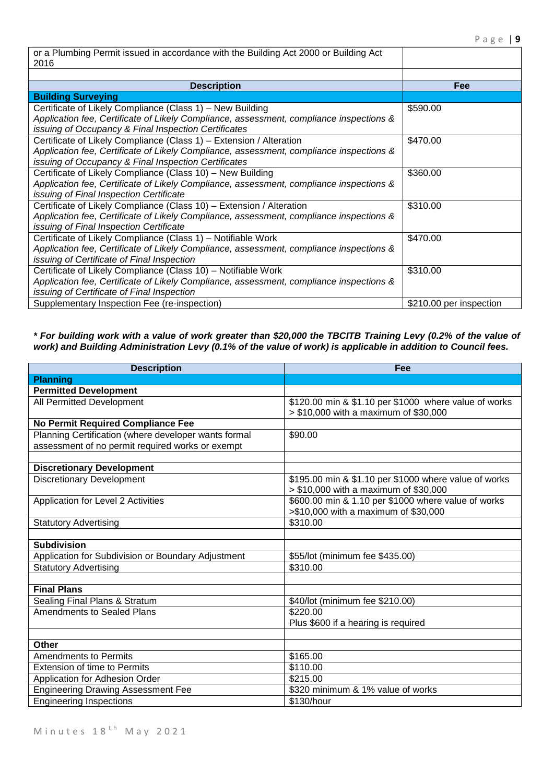| or a Plumbing Permit issued in accordance with the Building Act 2000 or Building Act<br>2016 |                         |
|----------------------------------------------------------------------------------------------|-------------------------|
|                                                                                              |                         |
| <b>Description</b>                                                                           | Fee                     |
| <b>Building Surveying</b>                                                                    |                         |
| Certificate of Likely Compliance (Class 1) - New Building                                    | \$590.00                |
| Application fee, Certificate of Likely Compliance, assessment, compliance inspections &      |                         |
| issuing of Occupancy & Final Inspection Certificates                                         |                         |
| Certificate of Likely Compliance (Class 1) – Extension / Alteration                          | \$470.00                |
| Application fee, Certificate of Likely Compliance, assessment, compliance inspections &      |                         |
| issuing of Occupancy & Final Inspection Certificates                                         |                         |
| Certificate of Likely Compliance (Class 10) - New Building                                   | \$360.00                |
| Application fee, Certificate of Likely Compliance, assessment, compliance inspections &      |                         |
| issuing of Final Inspection Certificate                                                      |                         |
| Certificate of Likely Compliance (Class 10) - Extension / Alteration                         | \$310.00                |
| Application fee, Certificate of Likely Compliance, assessment, compliance inspections &      |                         |
| issuing of Final Inspection Certificate                                                      |                         |
| Certificate of Likely Compliance (Class 1) - Notifiable Work                                 | \$470.00                |
| Application fee, Certificate of Likely Compliance, assessment, compliance inspections &      |                         |
| issuing of Certificate of Final Inspection                                                   |                         |
| Certificate of Likely Compliance (Class 10) - Notifiable Work                                | \$310.00                |
| Application fee, Certificate of Likely Compliance, assessment, compliance inspections &      |                         |
| issuing of Certificate of Final Inspection                                                   |                         |
| Supplementary Inspection Fee (re-inspection)                                                 | \$210.00 per inspection |

*\* For building work with a value of work greater than \$20,000 the TBCITB Training Levy (0.2% of the value of work) and Building Administration Levy (0.1% of the value of work) is applicable in addition to Council fees.*

| <b>Description</b>                                   | Fee                                                                                            |  |
|------------------------------------------------------|------------------------------------------------------------------------------------------------|--|
| <b>Planning</b>                                      |                                                                                                |  |
| <b>Permitted Development</b>                         |                                                                                                |  |
| All Permitted Development                            | \$120.00 min & \$1.10 per \$1000 where value of works<br>> \$10,000 with a maximum of \$30,000 |  |
| No Permit Required Compliance Fee                    |                                                                                                |  |
| Planning Certification (where developer wants formal | \$90.00                                                                                        |  |
| assessment of no permit required works or exempt     |                                                                                                |  |
|                                                      |                                                                                                |  |
| <b>Discretionary Development</b>                     |                                                                                                |  |
| <b>Discretionary Development</b>                     | \$195.00 min & \$1.10 per \$1000 where value of works<br>> \$10,000 with a maximum of \$30,000 |  |
| Application for Level 2 Activities                   | \$600.00 min & 1.10 per \$1000 where value of works                                            |  |
|                                                      | >\$10,000 with a maximum of \$30,000                                                           |  |
| <b>Statutory Advertising</b>                         | \$310.00                                                                                       |  |
|                                                      |                                                                                                |  |
| <b>Subdivision</b>                                   |                                                                                                |  |
| Application for Subdivision or Boundary Adjustment   | \$55/lot (minimum fee \$435.00)                                                                |  |
| <b>Statutory Advertising</b>                         | \$310.00                                                                                       |  |
|                                                      |                                                                                                |  |
| <b>Final Plans</b>                                   |                                                                                                |  |
| Sealing Final Plans & Stratum                        | \$40/lot (minimum fee \$210.00)                                                                |  |
| <b>Amendments to Sealed Plans</b>                    | \$220.00                                                                                       |  |
|                                                      | Plus \$600 if a hearing is required                                                            |  |
|                                                      |                                                                                                |  |
| <b>Other</b>                                         |                                                                                                |  |
| Amendments to Permits                                | \$165.00                                                                                       |  |
| <b>Extension of time to Permits</b>                  | \$110.00                                                                                       |  |
| Application for Adhesion Order                       | \$215.00                                                                                       |  |
| <b>Engineering Drawing Assessment Fee</b>            | \$320 minimum & 1% value of works                                                              |  |
| <b>Engineering Inspections</b>                       | \$130/hour                                                                                     |  |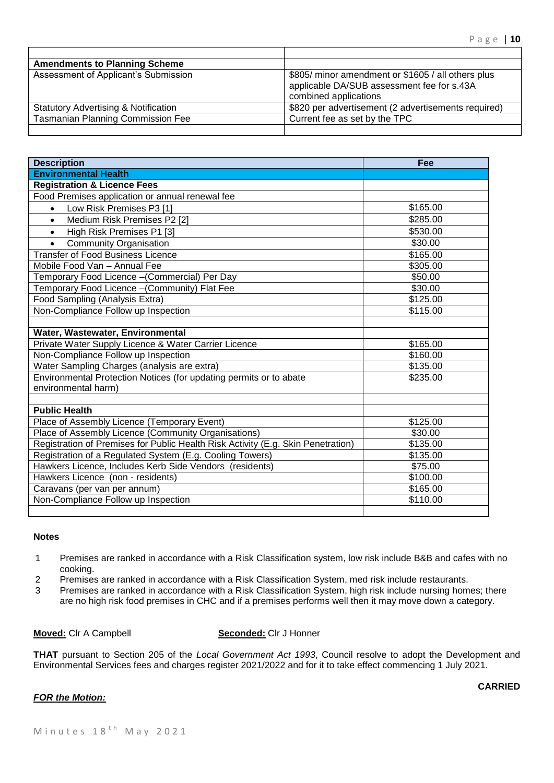| <b>Amendments to Planning Scheme</b>            |                                                                                                                           |
|-------------------------------------------------|---------------------------------------------------------------------------------------------------------------------------|
| Assessment of Applicant's Submission            | \$805/ minor amendment or \$1605 / all others plus<br>applicable DA/SUB assessment fee for s.43A<br>combined applications |
| <b>Statutory Advertising &amp; Notification</b> | \$820 per advertisement (2 advertisements required)                                                                       |
| <b>Tasmanian Planning Commission Fee</b>        | Current fee as set by the TPC                                                                                             |
|                                                 |                                                                                                                           |

| <b>Description</b>                                                               | Fee                  |
|----------------------------------------------------------------------------------|----------------------|
| <b>Environmental Health</b>                                                      |                      |
| <b>Registration &amp; Licence Fees</b>                                           |                      |
| Food Premises application or annual renewal fee                                  |                      |
| Low Risk Premises P3 [1]<br>$\bullet$                                            | \$165.00             |
| Medium Risk Premises P2 [2]<br>$\bullet$                                         | \$285.00             |
| High Risk Premises P1 [3]<br>$\bullet$                                           | \$530.00             |
| <b>Community Organisation</b><br>$\bullet$                                       | \$30.00              |
| <b>Transfer of Food Business Licence</b>                                         | $\overline{$}165.00$ |
| Mobile Food Van - Annual Fee                                                     | \$305.00             |
| Temporary Food Licence -(Commercial) Per Day                                     | \$50.00              |
| Temporary Food Licence - (Community) Flat Fee                                    | \$30.00              |
| Food Sampling (Analysis Extra)                                                   | \$125.00             |
| Non-Compliance Follow up Inspection                                              | \$115.00             |
|                                                                                  |                      |
| Water, Wastewater, Environmental                                                 |                      |
| Private Water Supply Licence & Water Carrier Licence                             | \$165.00             |
| Non-Compliance Follow up Inspection                                              | $\overline{$}160.00$ |
| Water Sampling Charges (analysis are extra)                                      | \$135.00             |
| Environmental Protection Notices (for updating permits or to abate               | \$235.00             |
| environmental harm)                                                              |                      |
|                                                                                  |                      |
| <b>Public Health</b>                                                             |                      |
| Place of Assembly Licence (Temporary Event)                                      | \$125.00             |
| Place of Assembly Licence (Community Organisations)                              | \$30.00              |
| Registration of Premises for Public Health Risk Activity (E.g. Skin Penetration) | \$135.00             |
| Registration of a Regulated System (E.g. Cooling Towers)                         | \$135.00             |
| Hawkers Licence, Includes Kerb Side Vendors (residents)                          | \$75.00              |
| Hawkers Licence (non - residents)                                                | \$100.00             |
| Caravans (per van per annum)                                                     | \$165.00             |
| Non-Compliance Follow up Inspection                                              | \$110.00             |
|                                                                                  |                      |

# **Notes**

- 1 Premises are ranked in accordance with a Risk Classification system, low risk include B&B and cafes with no cooking.
- 2 Premises are ranked in accordance with a Risk Classification System, med risk include restaurants.
- 3 Premises are ranked in accordance with a Risk Classification System, high risk include nursing homes; there are no high risk food premises in CHC and if a premises performs well then it may move down a category.

**Moved:** Clr A Campbell **Seconded:** Clr J Honner

**THAT** pursuant to Section 205 of the *Local Government Act 1993*, Council resolve to adopt the Development and Environmental Services fees and charges register 2021/2022 and for it to take effect commencing 1 July 2021.

#### *FOR the Motion:*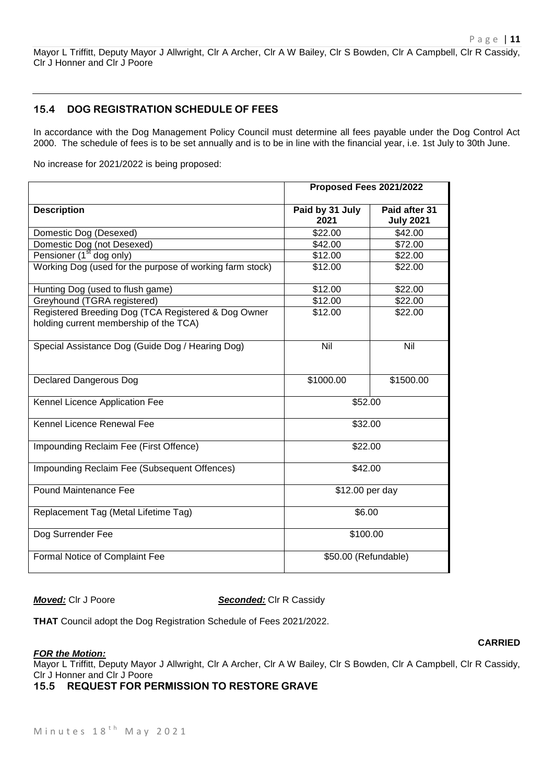Mayor L Triffitt, Deputy Mayor J Allwright, Clr A Archer, Clr A W Bailey, Clr S Bowden, Clr A Campbell, Clr R Cassidy, Clr J Honner and Clr J Poore

# **15.4 DOG REGISTRATION SCHEDULE OF FEES**

In accordance with the Dog Management Policy Council must determine all fees payable under the Dog Control Act 2000. The schedule of fees is to be set annually and is to be in line with the financial year, i.e. 1st July to 30th June.

No increase for 2021/2022 is being proposed:

|                                                                                               | Proposed Fees 2021/2022 |                  |  |
|-----------------------------------------------------------------------------------------------|-------------------------|------------------|--|
| <b>Description</b>                                                                            | Paid by 31 July         | Paid after 31    |  |
|                                                                                               | 2021                    | <b>July 2021</b> |  |
| Domestic Dog (Desexed)                                                                        | \$22.00                 | \$42.00          |  |
| Domestic Dog (not Desexed)                                                                    | \$42.00                 | \$72.00          |  |
| Pensioner (1 <sup>st</sup> dog only)                                                          | \$12.00                 | \$22.00          |  |
| Working Dog (used for the purpose of working farm stock)                                      | \$12.00                 | \$22.00          |  |
| Hunting Dog (used to flush game)                                                              | \$12.00                 | \$22.00          |  |
| Greyhound (TGRA registered)                                                                   | \$12.00                 | \$22.00          |  |
| Registered Breeding Dog (TCA Registered & Dog Owner<br>holding current membership of the TCA) | \$12.00                 | \$22.00          |  |
| Special Assistance Dog (Guide Dog / Hearing Dog)                                              | Nil                     | Nil              |  |
| <b>Declared Dangerous Dog</b>                                                                 | \$1000.00               | \$1500.00        |  |
| Kennel Licence Application Fee                                                                | \$52.00                 |                  |  |
| Kennel Licence Renewal Fee                                                                    | \$32.00                 |                  |  |
| Impounding Reclaim Fee (First Offence)                                                        | \$22.00                 |                  |  |
| Impounding Reclaim Fee (Subsequent Offences)                                                  | \$42.00                 |                  |  |
| <b>Pound Maintenance Fee</b>                                                                  | \$12.00 per day         |                  |  |
| Replacement Tag (Metal Lifetime Tag)                                                          | \$6.00                  |                  |  |
| Dog Surrender Fee                                                                             | \$100.00                |                  |  |
| Formal Notice of Complaint Fee                                                                | \$50.00 (Refundable)    |                  |  |

*Moved:* Clr J Poore **Seconded:** Clr R Cassidy

**THAT** Council adopt the Dog Registration Schedule of Fees 2021/2022.

#### **CARRIED**

*FOR the Motion:*

Mayor L Triffitt, Deputy Mayor J Allwright, Clr A Archer, Clr A W Bailey, Clr S Bowden, Clr A Campbell, Clr R Cassidy, Clr J Honner and Clr J Poore

**15.5 REQUEST FOR PERMISSION TO RESTORE GRAVE**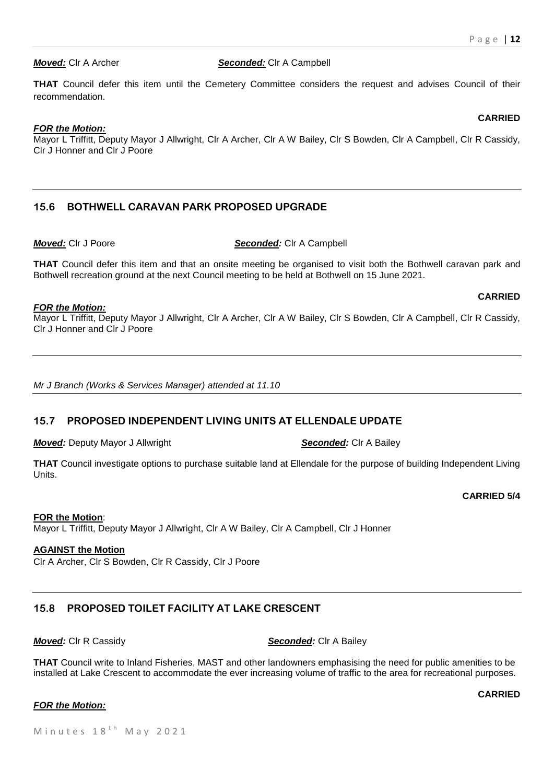**CARRIED**

**CARRIED**

#### *Moved:* Clr A Archer *Seconded:* Clr A Campbell

**THAT** Council defer this item until the Cemetery Committee considers the request and advises Council of their recommendation.

#### *FOR the Motion:*

Mayor L Triffitt, Deputy Mayor J Allwright, Clr A Archer, Clr A W Bailey, Clr S Bowden, Clr A Campbell, Clr R Cassidy, Clr J Honner and Clr J Poore

# **15.6 BOTHWELL CARAVAN PARK PROPOSED UPGRADE**

*Moved:* Clr J Poore *Seconded:* Clr A Campbell

**THAT** Council defer this item and that an onsite meeting be organised to visit both the Bothwell caravan park and Bothwell recreation ground at the next Council meeting to be held at Bothwell on 15 June 2021.

#### *FOR the Motion:*

Mayor L Triffitt, Deputy Mayor J Allwright, Clr A Archer, Clr A W Bailey, Clr S Bowden, Clr A Campbell, Clr R Cassidy, Clr J Honner and Clr J Poore

*Mr J Branch (Works & Services Manager) attended at 11.10*

### **15.7 PROPOSED INDEPENDENT LIVING UNITS AT ELLENDALE UPDATE**

*Moved:* Deputy Mayor J Allwright *Seconded:* Clr A Bailey

**THAT** Council investigate options to purchase suitable land at Ellendale for the purpose of building Independent Living Units.

**CARRIED 5/4**

#### **FOR the Motion**:

Mayor L Triffitt, Deputy Mayor J Allwright, Clr A W Bailey, Clr A Campbell, Clr J Honner

# **AGAINST the Motion**

Clr A Archer, Clr S Bowden, Clr R Cassidy, Clr J Poore

# **15.8 PROPOSED TOILET FACILITY AT LAKE CRESCENT**

*Moved:* Clr R Cassidy *Seconded:* Clr A Bailey

**THAT** Council write to Inland Fisheries, MAST and other landowners emphasising the need for public amenities to be installed at Lake Crescent to accommodate the ever increasing volume of traffic to the area for recreational purposes.

### *FOR the Motion:*

**CARRIED**

Minutes  $18<sup>th</sup>$  May 2021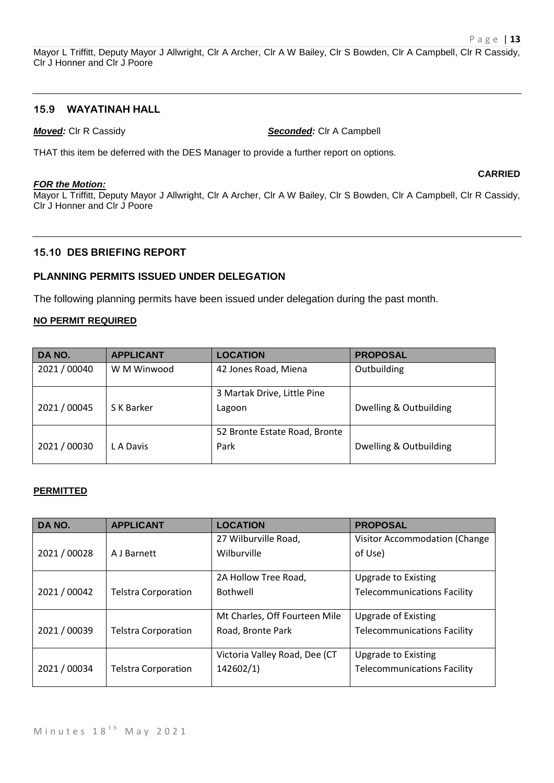Mayor L Triffitt, Deputy Mayor J Allwright, Clr A Archer, Clr A W Bailey, Clr S Bowden, Clr A Campbell, Clr R Cassidy, Clr J Honner and Clr J Poore

### **15.9 WAYATINAH HALL**

*Moved:* Clr R Cassidy *Seconded:* Clr A Campbell

THAT this item be deferred with the DES Manager to provide a further report on options.

#### *FOR the Motion:*

**CARRIED**

Mayor L Triffitt, Deputy Mayor J Allwright, Clr A Archer, Clr A W Bailey, Clr S Bowden, Clr A Campbell, Clr R Cassidy, Clr J Honner and Clr J Poore

#### **15.10 DES BRIEFING REPORT**

### **PLANNING PERMITS ISSUED UNDER DELEGATION**

The following planning permits have been issued under delegation during the past month.

#### **NO PERMIT REQUIRED**

| DA NO.       | <b>APPLICANT</b> | <b>LOCATION</b>               | <b>PROPOSAL</b>        |
|--------------|------------------|-------------------------------|------------------------|
| 2021/00040   | W M Winwood      | 42 Jones Road, Miena          | Outbuilding            |
|              |                  | 3 Martak Drive, Little Pine   |                        |
| 2021 / 00045 | S K Barker       | Lagoon                        | Dwelling & Outbuilding |
|              |                  | 52 Bronte Estate Road, Bronte |                        |
| 2021/00030   | L A Davis        | Park                          | Dwelling & Outbuilding |

#### **PERMITTED**

| DA NO.       | <b>APPLICANT</b>           | <b>LOCATION</b>               | <b>PROPOSAL</b>                    |
|--------------|----------------------------|-------------------------------|------------------------------------|
|              |                            | 27 Wilburville Road,          | Visitor Accommodation (Change)     |
| 2021/00028   | A J Barnett                | Wilburville                   | of Use)                            |
|              |                            |                               |                                    |
|              |                            | 2A Hollow Tree Road,          | <b>Upgrade to Existing</b>         |
| 2021 / 00042 | <b>Telstra Corporation</b> | <b>Bothwell</b>               | <b>Telecommunications Facility</b> |
|              |                            |                               |                                    |
|              |                            | Mt Charles, Off Fourteen Mile | <b>Upgrade of Existing</b>         |
| 2021 / 00039 | <b>Telstra Corporation</b> | Road, Bronte Park             | <b>Telecommunications Facility</b> |
|              |                            |                               |                                    |
|              |                            | Victoria Valley Road, Dee (CT | <b>Upgrade to Existing</b>         |
| 2021 / 00034 | <b>Telstra Corporation</b> | 142602/1)                     | <b>Telecommunications Facility</b> |
|              |                            |                               |                                    |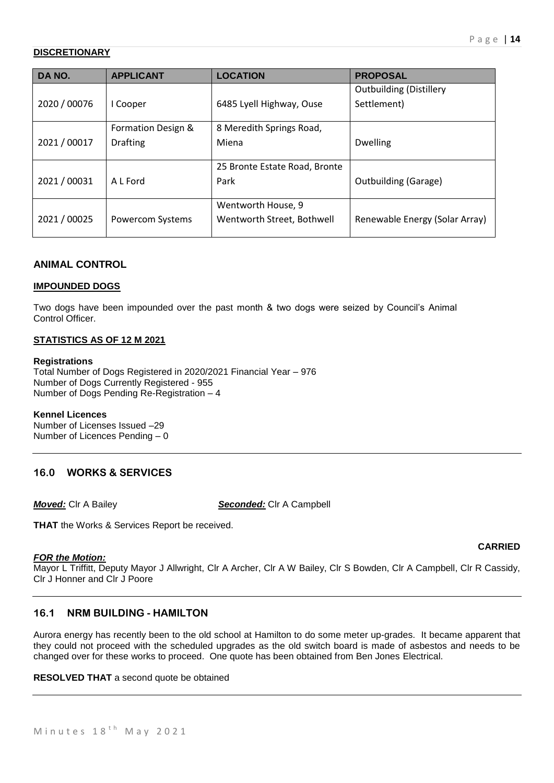# **DISCRETIONARY**

| DA NO.       | <b>APPLICANT</b>   | <b>LOCATION</b>               | <b>PROPOSAL</b>                |
|--------------|--------------------|-------------------------------|--------------------------------|
|              |                    |                               | <b>Outbuilding (Distillery</b> |
| 2020 / 00076 | I Cooper           | 6485 Lyell Highway, Ouse      | Settlement)                    |
|              |                    |                               |                                |
|              | Formation Design & | 8 Meredith Springs Road,      |                                |
| 2021/00017   | <b>Drafting</b>    | Miena                         | <b>Dwelling</b>                |
|              |                    |                               |                                |
|              |                    | 25 Bronte Estate Road, Bronte |                                |
| 2021/00031   | A L Ford           | Park                          | <b>Outbuilding (Garage)</b>    |
|              |                    |                               |                                |
|              |                    | Wentworth House, 9            |                                |
| 2021/00025   | Powercom Systems   | Wentworth Street, Bothwell    | Renewable Energy (Solar Array) |
|              |                    |                               |                                |

# **ANIMAL CONTROL**

### **IMPOUNDED DOGS**

Two dogs have been impounded over the past month & two dogs were seized by Council's Animal Control Officer.

### **STATISTICS AS OF 12 M 2021**

#### **Registrations**

Total Number of Dogs Registered in 2020/2021 Financial Year – 976 Number of Dogs Currently Registered - 955 Number of Dogs Pending Re-Registration – 4

#### **Kennel Licences**

Number of Licenses Issued –29 Number of Licences Pending – 0

# **16.0 WORKS & SERVICES**

*Moved:* Clr A Bailey *Seconded:* Clr A Campbell

**THAT** the Works & Services Report be received.

### *FOR the Motion:*

Mayor L Triffitt, Deputy Mayor J Allwright, Clr A Archer, Clr A W Bailey, Clr S Bowden, Clr A Campbell, Clr R Cassidy, Clr J Honner and Clr J Poore

# **16.1 NRM BUILDING - HAMILTON**

Aurora energy has recently been to the old school at Hamilton to do some meter up-grades. It became apparent that they could not proceed with the scheduled upgrades as the old switch board is made of asbestos and needs to be changed over for these works to proceed. One quote has been obtained from Ben Jones Electrical.

**RESOLVED THAT** a second quote be obtained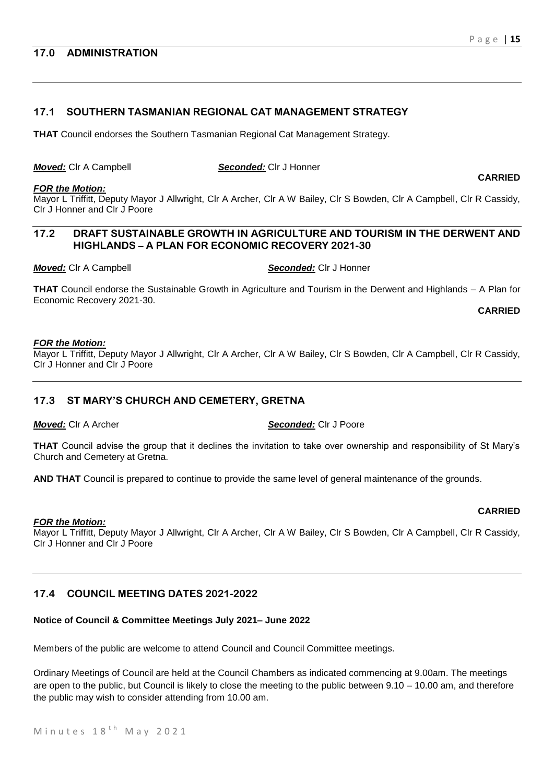### **17.0 ADMINISTRATION**

# **17.1 SOUTHERN TASMANIAN REGIONAL CAT MANAGEMENT STRATEGY**

**THAT** Council endorses the Southern Tasmanian Regional Cat Management Strategy.

| Moved: Clr A Campbell |
|-----------------------|
|-----------------------|

#### **Seconded:** Clr J Honner

#### *FOR the Motion:*

Mayor L Triffitt, Deputy Mayor J Allwright, Clr A Archer, Clr A W Bailey, Clr S Bowden, Clr A Campbell, Clr R Cassidy, Clr J Honner and Clr J Poore

# **17.2 DRAFT SUSTAINABLE GROWTH IN AGRICULTURE AND TOURISM IN THE DERWENT AND HIGHLANDS – A PLAN FOR ECONOMIC RECOVERY 2021-30**

*Moved:* Clr A Campbell *Seconded:* Clr J Honner

**THAT** Council endorse the Sustainable Growth in Agriculture and Tourism in the Derwent and Highlands – A Plan for Economic Recovery 2021-30.

**CARRIED**

**CARRIED**

**CARRIED**

#### *FOR the Motion:*

Mayor L Triffitt, Deputy Mayor J Allwright, Clr A Archer, Clr A W Bailey, Clr S Bowden, Clr A Campbell, Clr R Cassidy, Clr J Honner and Clr J Poore

### **17.3 ST MARY'S CHURCH AND CEMETERY, GRETNA**

*Moved:* Clr A Archer *Seconded:* Clr J Poore

**THAT** Council advise the group that it declines the invitation to take over ownership and responsibility of St Mary's Church and Cemetery at Gretna.

**AND THAT** Council is prepared to continue to provide the same level of general maintenance of the grounds.

#### *FOR the Motion:*

Mayor L Triffitt, Deputy Mayor J Allwright, Clr A Archer, Clr A W Bailey, Clr S Bowden, Clr A Campbell, Clr R Cassidy, Clr J Honner and Clr J Poore

# **17.4 COUNCIL MEETING DATES 2021-2022**

# **Notice of Council & Committee Meetings July 2021– June 2022**

Members of the public are welcome to attend Council and Council Committee meetings.

Ordinary Meetings of Council are held at the Council Chambers as indicated commencing at 9.00am. The meetings are open to the public, but Council is likely to close the meeting to the public between 9.10 – 10.00 am, and therefore the public may wish to consider attending from 10.00 am.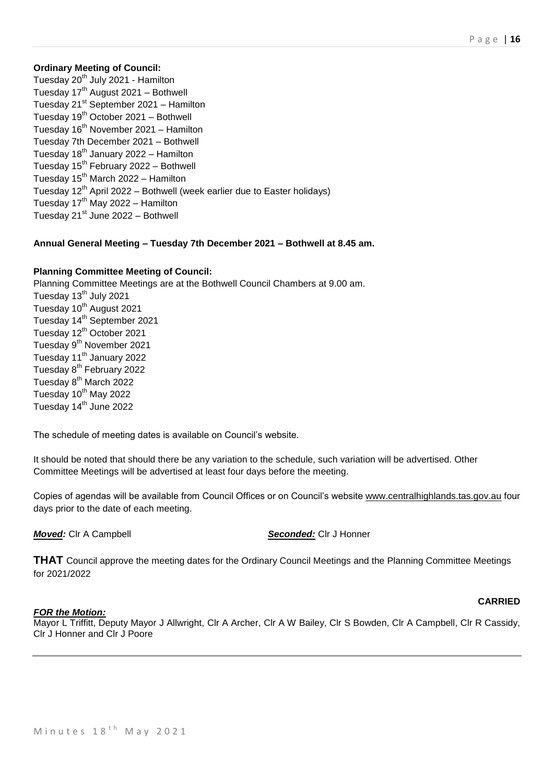# **Ordinary Meeting of Council:**

Tuesday 20<sup>th</sup> July 2021 - Hamilton Tuesday 17<sup>th</sup> August 2021 - Bothwell Tuesday  $21^{st}$  September 2021 – Hamilton Tuesday  $19<sup>th</sup>$  October 2021 – Bothwell Tuesday 16<sup>th</sup> November 2021 – Hamilton Tuesday 7th December 2021 – Bothwell Tuesday  $18<sup>th</sup>$  January 2022 – Hamilton Tuesday 15<sup>th</sup> February 2022 - Bothwell Tuesday  $15<sup>th</sup>$  March 2022 – Hamilton Tuesday  $12<sup>th</sup>$  April 2022 – Bothwell (week earlier due to Easter holidays) Tuesday  $17<sup>th</sup>$  May 2022 – Hamilton Tuesday  $21^{st}$  June 2022 – Bothwell

# **Annual General Meeting – Tuesday 7th December 2021 – Bothwell at 8.45 am.**

# **Planning Committee Meeting of Council:**

Planning Committee Meetings are at the Bothwell Council Chambers at 9.00 am. Tuesday 13<sup>th</sup> July 2021 Tuesday 10<sup>th</sup> August 2021 Tuesday 14<sup>th</sup> September 2021 Tuesday 12<sup>th</sup> October 2021 Tuesday 9<sup>th</sup> November 2021 Tuesday 11<sup>th</sup> January 2022 Tuesday 8<sup>th</sup> February 2022 Tuesday 8<sup>th</sup> March 2022 Tuesday 10<sup>th</sup> May 2022 Tuesday 14<sup>th</sup> June 2022

The schedule of meeting dates is available on Council's website.

It should be noted that should there be any variation to the schedule, such variation will be advertised. Other Committee Meetings will be advertised at least four days before the meeting.

Copies of agendas will be available from Council Offices or on Council's website [www.centralhighlands.tas.gov.au](http://www.centralhighlands.tas.gov.au/) four days prior to the date of each meeting.

*Moved:* Clr A Campbell *Seconded:* Clr J Honner

**THAT** Council approve the meeting dates for the Ordinary Council Meetings and the Planning Committee Meetings for 2021/2022

### **CARRIED**

### *FOR the Motion:*

Mayor L Triffitt, Deputy Mayor J Allwright, Clr A Archer, Clr A W Bailey, Clr S Bowden, Clr A Campbell, Clr R Cassidy, Clr J Honner and Clr J Poore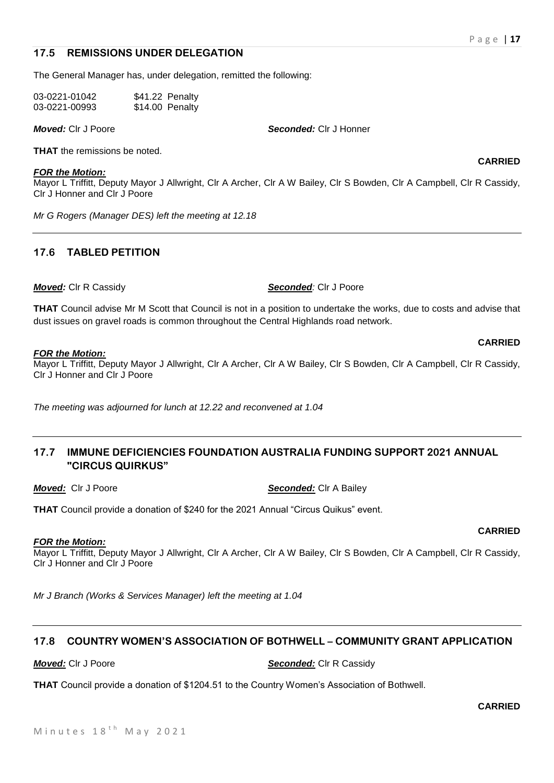#### **17.5 REMISSIONS UNDER DELEGATION**

The General Manager has, under delegation, remitted the following:

| 03-0221-01042 | \$41.22 Penalty |
|---------------|-----------------|
| 03-0221-00993 | \$14.00 Penalty |

*Moved:* Clr J Poore *Seconded:* Clr J Honner

**THAT** the remissions be noted.

# *FOR the Motion:*

Mayor L Triffitt, Deputy Mayor J Allwright, Clr A Archer, Clr A W Bailey, Clr S Bowden, Clr A Campbell, Clr R Cassidy, Clr J Honner and Clr J Poore

*Mr G Rogers (Manager DES) left the meeting at 12.18*

# **17.6 TABLED PETITION**

*Moved:* Clr R Cassidy *Seconded:* Clr J Poore

*FOR the Motion:* Mayor L Triffitt, Deputy Mayor J Allwright, Clr A Archer, Clr A W Bailey, Clr S Bowden, Clr A Campbell, Clr R Cassidy, Clr J Honner and Clr J Poore

**THAT** Council advise Mr M Scott that Council is not in a position to undertake the works, due to costs and advise that

*The meeting was adjourned for lunch at 12.22 and reconvened at 1.04*

# **17.7 IMMUNE DEFICIENCIES FOUNDATION AUSTRALIA FUNDING SUPPORT 2021 ANNUAL "CIRCUS QUIRKUS"**

**THAT** Council provide a donation of \$240 for the 2021 Annual "Circus Quikus" event.

dust issues on gravel roads is common throughout the Central Highlands road network.

#### *FOR the Motion:*

Mayor L Triffitt, Deputy Mayor J Allwright, Clr A Archer, Clr A W Bailey, Clr S Bowden, Clr A Campbell, Clr R Cassidy, Clr J Honner and Clr J Poore

*Mr J Branch (Works & Services Manager) left the meeting at 1.04*

### **17.8 COUNTRY WOMEN'S ASSOCIATION OF BOTHWELL – COMMUNITY GRANT APPLICATION**

#### *Moved:* Clr J Poore *Seconded:* Clr R Cassidy

**THAT** Council provide a donation of \$1204.51 to the Country Women's Association of Bothwell.

**CARRIED**

**CARRIED**

**CARRIED**

**CARRIED**

*Moved:*Clr J Poore *Seconded:* Clr A Bailey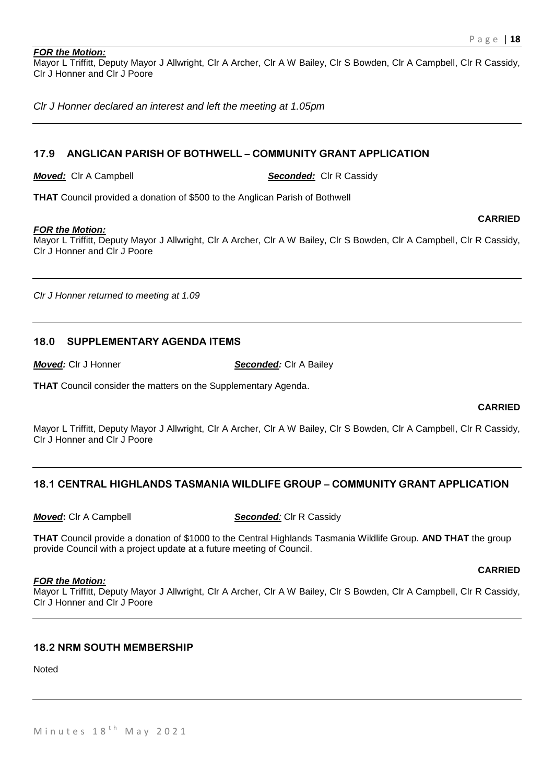#### *FOR the Motion:*

Mayor L Triffitt, Deputy Mayor J Allwright, Clr A Archer, Clr A W Bailey, Clr S Bowden, Clr A Campbell, Clr R Cassidy, Clr J Honner and Clr J Poore

*Clr J Honner declared an interest and left the meeting at 1.05pm*

# **17.9 ANGLICAN PARISH OF BOTHWELL – COMMUNITY GRANT APPLICATION**

*Moved:* Clr A Campbell *Seconded:* Clr R Cassidy

**THAT** Council provided a donation of \$500 to the Anglican Parish of Bothwell

#### *FOR the Motion:*

Mayor L Triffitt, Deputy Mayor J Allwright, Clr A Archer, Clr A W Bailey, Clr S Bowden, Clr A Campbell, Clr R Cassidy, Clr J Honner and Clr J Poore

*Clr J Honner returned to meeting at 1.09*

# **18.0 SUPPLEMENTARY AGENDA ITEMS**

*Moved:* Clr J Honner *Seconded:* Clr A Bailey

**THAT** Council consider the matters on the Supplementary Agenda.

#### **CARRIED**

**CARRIED**

Mayor L Triffitt, Deputy Mayor J Allwright, Clr A Archer, Clr A W Bailey, Clr S Bowden, Clr A Campbell, Clr R Cassidy, Clr J Honner and Clr J Poore

# **18.1 CENTRAL HIGHLANDS TASMANIA WILDLIFE GROUP – COMMUNITY GRANT APPLICATION**

#### *Moved***:** Clr A Campbell *Seconded:* Clr R Cassidy

**THAT** Council provide a donation of \$1000 to the Central Highlands Tasmania Wildlife Group. **AND THAT** the group provide Council with a project update at a future meeting of Council.

#### *FOR the Motion:*

Mayor L Triffitt, Deputy Mayor J Allwright, Clr A Archer, Clr A W Bailey, Clr S Bowden, Clr A Campbell, Clr R Cassidy, Clr J Honner and Clr J Poore

# **18.2 NRM SOUTH MEMBERSHIP**

Noted